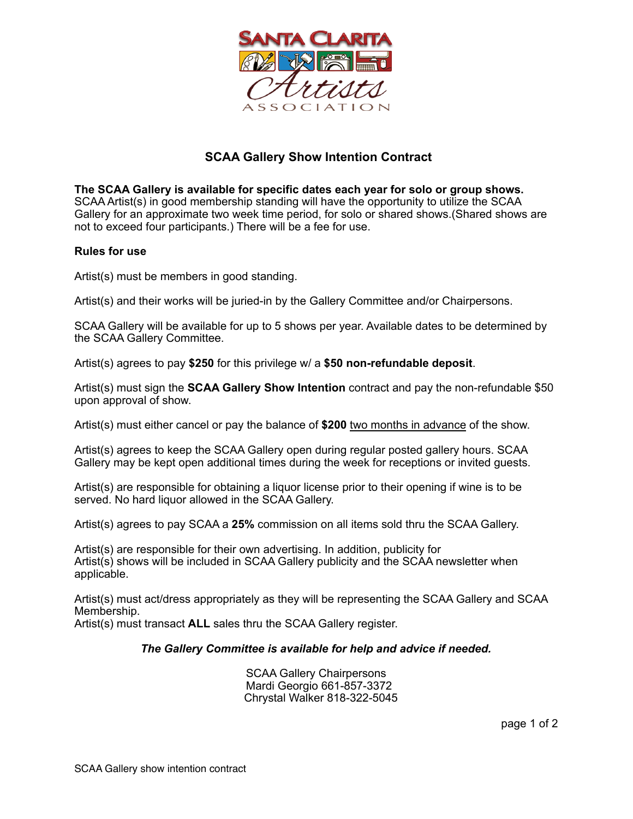

## **SCAA Gallery Show Intention Contract**

**The SCAA Gallery is available for specific dates each year for solo or group shows.**  SCAA Artist(s) in good membership standing will have the opportunity to utilize the SCAA Gallery for an approximate two week time period, for solo or shared shows.(Shared shows are not to exceed four participants.) There will be a fee for use.

## **Rules for use**

Artist(s) must be members in good standing.

Artist(s) and their works will be juried-in by the Gallery Committee and/or Chairpersons.

SCAA Gallery will be available for up to 5 shows per year. Available dates to be determined by the SCAA Gallery Committee.

Artist(s) agrees to pay **\$250** for this privilege w/ a **\$50 non-refundable deposit**.

Artist(s) must sign the **SCAA Gallery Show Intention** contract and pay the non-refundable \$50 upon approval of show.

Artist(s) must either cancel or pay the balance of **\$200** two months in advance of the show.

Artist(s) agrees to keep the SCAA Gallery open during regular posted gallery hours. SCAA Gallery may be kept open additional times during the week for receptions or invited guests.

Artist(s) are responsible for obtaining a liquor license prior to their opening if wine is to be served. No hard liquor allowed in the SCAA Gallery.

Artist(s) agrees to pay SCAA a **25%** commission on all items sold thru the SCAA Gallery.

Artist(s) are responsible for their own advertising. In addition, publicity for Artist(s) shows will be included in SCAA Gallery publicity and the SCAA newsletter when applicable.

Artist(s) must act/dress appropriately as they will be representing the SCAA Gallery and SCAA Membership.

Artist(s) must transact **ALL** sales thru the SCAA Gallery register.

## *The Gallery Committee is available for help and advice if needed.*

SCAA Gallery Chairpersons Mardi Georgio 661-857-3372 Chrystal Walker 818-322-5045

page 1 of 2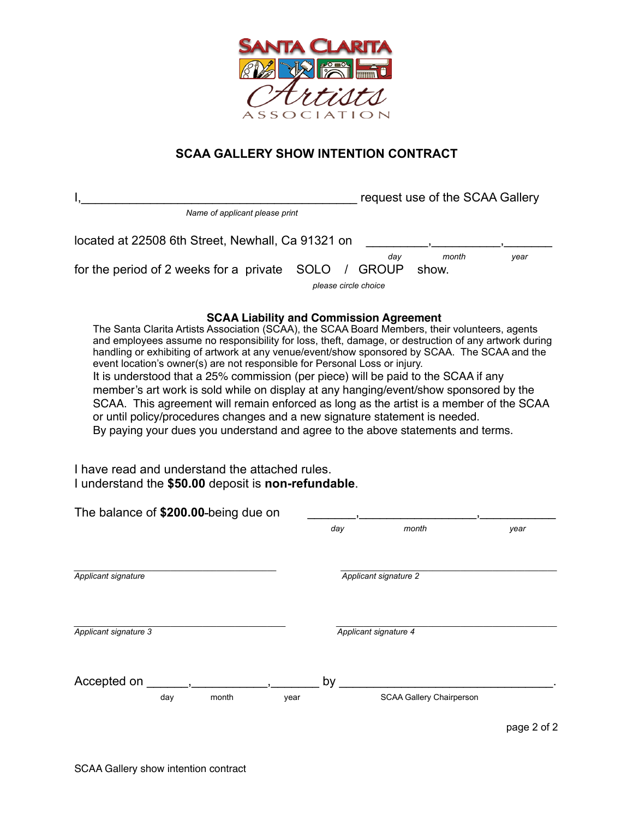

## **SCAA GALLERY SHOW INTENTION CONTRACT**

|                                                                                                                                                                                                                                                                                                                                                                                                                                                                                                                                                                                                                                                                                                                                                                                                                                                                                                                                                                                              |             | request use of the SCAA Gallery             |                                 |             |  |
|----------------------------------------------------------------------------------------------------------------------------------------------------------------------------------------------------------------------------------------------------------------------------------------------------------------------------------------------------------------------------------------------------------------------------------------------------------------------------------------------------------------------------------------------------------------------------------------------------------------------------------------------------------------------------------------------------------------------------------------------------------------------------------------------------------------------------------------------------------------------------------------------------------------------------------------------------------------------------------------------|-------------|---------------------------------------------|---------------------------------|-------------|--|
| Name of applicant please print                                                                                                                                                                                                                                                                                                                                                                                                                                                                                                                                                                                                                                                                                                                                                                                                                                                                                                                                                               |             |                                             |                                 |             |  |
| located at 22508 6th Street, Newhall, Ca 91321 on                                                                                                                                                                                                                                                                                                                                                                                                                                                                                                                                                                                                                                                                                                                                                                                                                                                                                                                                            |             |                                             | month                           |             |  |
| for the period of 2 weeks for a private                                                                                                                                                                                                                                                                                                                                                                                                                                                                                                                                                                                                                                                                                                                                                                                                                                                                                                                                                      | <b>SOLO</b> | day<br><b>GROUP</b><br>please circle choice | show.                           | year        |  |
| <b>SCAA Liability and Commission Agreement</b><br>The Santa Clarita Artists Association (SCAA), the SCAA Board Members, their volunteers, agents<br>and employees assume no responsibility for loss, theft, damage, or destruction of any artwork during<br>handling or exhibiting of artwork at any venue/event/show sponsored by SCAA. The SCAA and the<br>event location's owner(s) are not responsible for Personal Loss or injury.<br>It is understood that a 25% commission (per piece) will be paid to the SCAA if any<br>member's art work is sold while on display at any hanging/event/show sponsored by the<br>SCAA. This agreement will remain enforced as long as the artist is a member of the SCAA<br>or until policy/procedures changes and a new signature statement is needed.<br>By paying your dues you understand and agree to the above statements and terms.<br>I have read and understand the attached rules.<br>I understand the \$50.00 deposit is non-refundable. |             |                                             |                                 |             |  |
| The balance of \$200.00-being due on                                                                                                                                                                                                                                                                                                                                                                                                                                                                                                                                                                                                                                                                                                                                                                                                                                                                                                                                                         | day         |                                             | month                           | year        |  |
|                                                                                                                                                                                                                                                                                                                                                                                                                                                                                                                                                                                                                                                                                                                                                                                                                                                                                                                                                                                              |             |                                             |                                 |             |  |
| Applicant signature                                                                                                                                                                                                                                                                                                                                                                                                                                                                                                                                                                                                                                                                                                                                                                                                                                                                                                                                                                          |             | Applicant signature 2                       |                                 |             |  |
| Applicant signature 3                                                                                                                                                                                                                                                                                                                                                                                                                                                                                                                                                                                                                                                                                                                                                                                                                                                                                                                                                                        |             | Applicant signature 4                       |                                 |             |  |
| Accepted on                                                                                                                                                                                                                                                                                                                                                                                                                                                                                                                                                                                                                                                                                                                                                                                                                                                                                                                                                                                  | by          |                                             |                                 |             |  |
| month<br>day<br>year                                                                                                                                                                                                                                                                                                                                                                                                                                                                                                                                                                                                                                                                                                                                                                                                                                                                                                                                                                         |             |                                             | <b>SCAA Gallery Chairperson</b> |             |  |
|                                                                                                                                                                                                                                                                                                                                                                                                                                                                                                                                                                                                                                                                                                                                                                                                                                                                                                                                                                                              |             |                                             |                                 | page 2 of 2 |  |